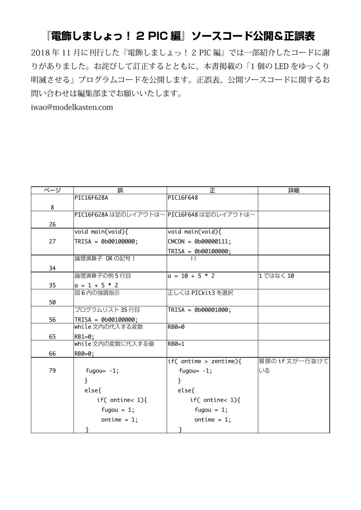## 『電飾しましょっ! 2 PIC 編』ソースコード公開&正誤表

2018年11月に刊行した『電飾しましょっ! 2 PIC 編』では一部紹介したコードに謝 りがありました。お詫びして訂正するとともに、本書掲載の「1個の LED をゆっくり 明滅させる」プログラムコードを公開します。正誤表、公開ソースコードに関するお 問い合わせは編集部までお願いいたします。

iwao@modelkasten.com

| ページ | 誤                                          | 正                      | 詳細             |
|-----|--------------------------------------------|------------------------|----------------|
|     | PIC16F628A                                 | PIC16F648              |                |
| 8   |                                            |                        |                |
|     | PIC16F628A は足のレイアウトは~ PIC16F648 は足のレイアウトは~ |                        |                |
| 26  |                                            |                        |                |
|     | void main(void){                           | void main(void){       |                |
| 27  | TRISA = 0b00100000;                        | $CMCON = 0b00000111;$  |                |
|     |                                            | $TRISA = 0b00100000;$  |                |
|     | 論理演算子 OR の記号 I                             | $\perp$                |                |
| 34  |                                            |                        |                |
|     | 論理演算子の例5行目                                 | $a = 10 + 5 * 2$       | 1 ではなく 10      |
| 35  | $a = 1 + 5 * 2$                            |                        |                |
|     | 図6内の強調指示                                   | 正しくは PICkit3を選択        |                |
| 50  |                                            |                        |                |
|     | プログラムリスト 35 行目                             | TRISA = 0b00001000;    |                |
| 56  | TRISA = 0b00100000;                        |                        |                |
|     | while 文内の代入する変数                            | RB0=0                  |                |
| 65  | RB1=0;                                     |                        |                |
|     | while 文内の変数に代入する値                          | RB0=1                  |                |
| 66  | RB0=0;                                     |                        |                |
|     |                                            | if( ontime > zentime){ | 冒頭の if 文が一行抜けて |
| 79  | fugou= $-1$ ;                              | fugou= $-1$ ;          | いる             |
|     | ł                                          | }                      |                |
|     | else{                                      | $else{$                |                |
|     | if( ontine< $1$ ){                         | if( ontine< $1$ ){     |                |
|     | fugou = $1$ ;                              | fugou = $1$ ;          |                |
|     | ontime = $1$ ;                             | ontime = $1$ ;         |                |
|     | }                                          | }                      |                |